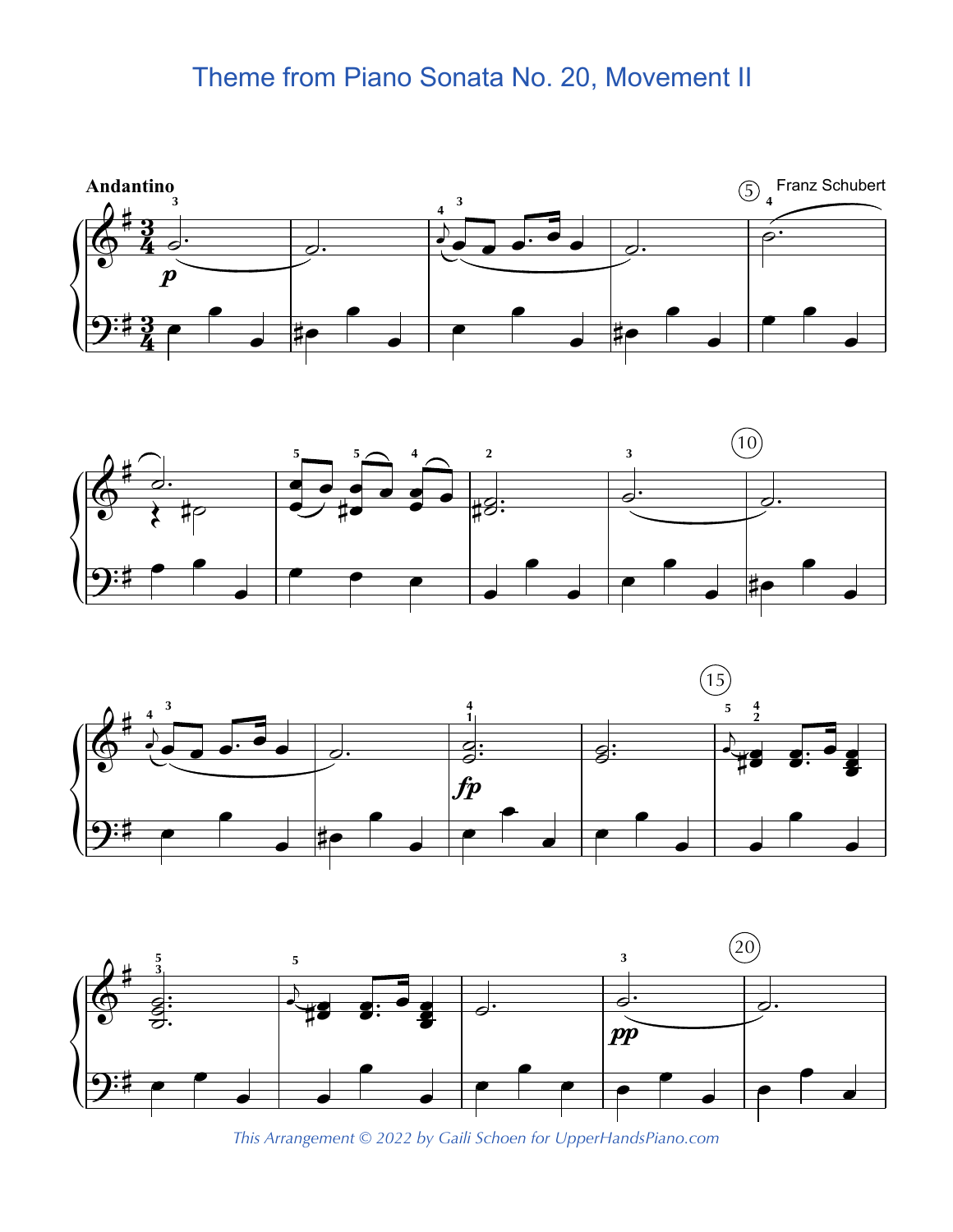## Theme from Piano Sonata No. 20, Movement II









*This Arrangement © 2022 by Gaili Schoen for UpperHandsPiano.com*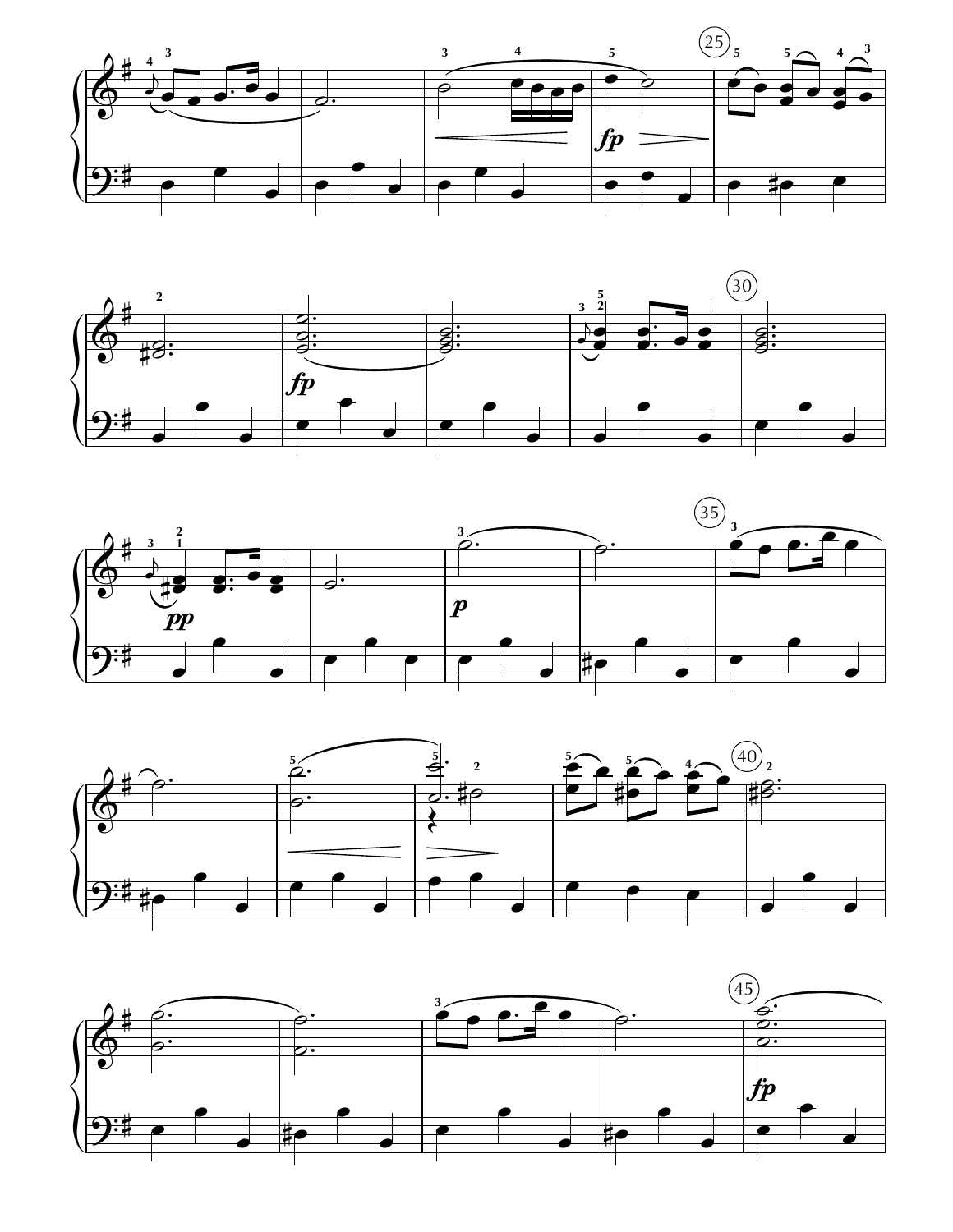